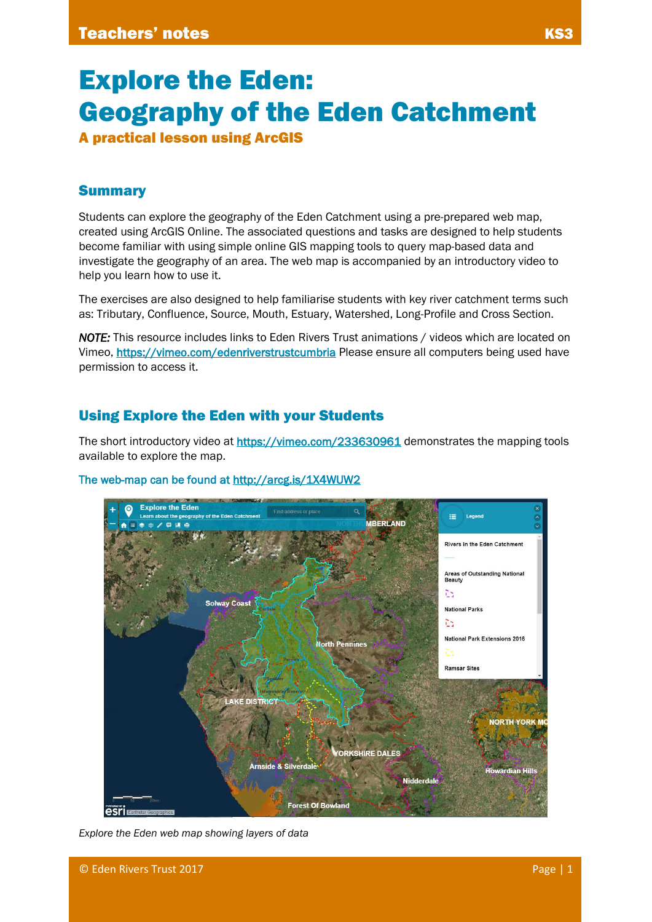A practical lesson using ArcGIS

# **Summary**

Students can explore the geography of the Eden Catchment using a pre-prepared web map, created using ArcGIS Online. The associated questions and tasks are designed to help students become familiar with using simple online GIS mapping tools to query map-based data and investigate the geography of an area. The web map is accompanied by an introductory video to help you learn how to use it.

The exercises are also designed to help familiarise students with key river catchment terms such as: Tributary, Confluence, Source, Mouth, Estuary, Watershed, Long-Profile and Cross Section.

*NOTE:* This resource includes links to Eden Rivers Trust animations / videos which are located on Vimeo, <https://vimeo.com/edenriverstrustcumbria>Please ensure all computers being used have permission to access it.

## Using Explore the Eden with your Students

The short introductory video at<https://vimeo.com/233630961>demonstrates the mapping tools available to explore the map.



### The web-map can be found at<http://arcg.is/1X4WUW2>

*Explore the Eden web map showing layers of data*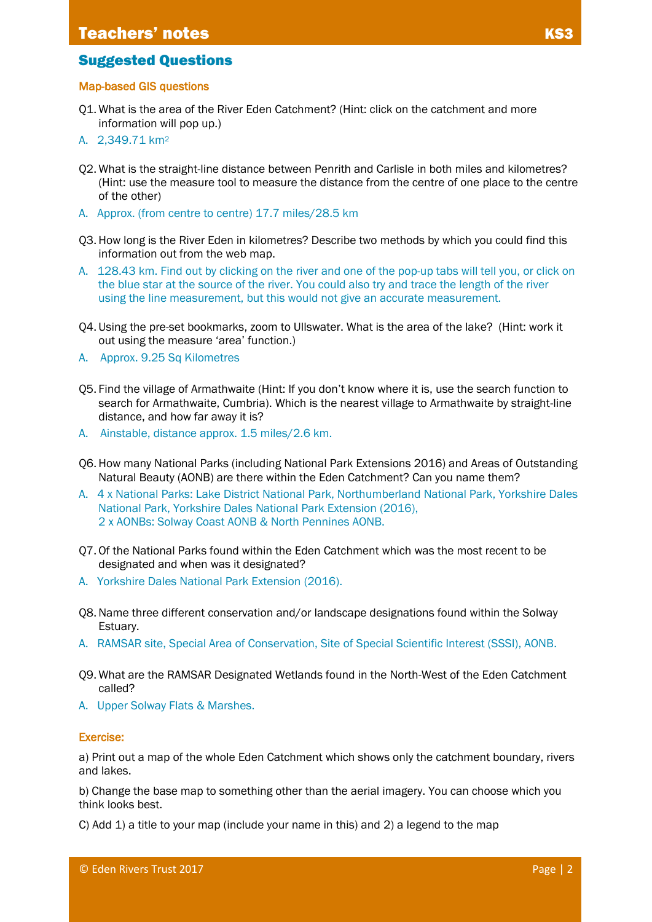## Suggested Questions

#### Map-based GIS questions

- Q1. What is the area of the River Eden Catchment? (Hint: click on the catchment and more information will pop up.)
- A. 2,349.71 km<sup>2</sup>
- Q2. What is the straight-line distance between Penrith and Carlisle in both miles and kilometres? (Hint: use the measure tool to measure the distance from the centre of one place to the centre of the other)
- A. Approx. (from centre to centre) 17.7 miles/28.5 km
- Q3. How long is the River Eden in kilometres? Describe two methods by which you could find this information out from the web map.
- A. 128.43 km. Find out by clicking on the river and one of the pop-up tabs will tell you, or click on the blue star at the source of the river. You could also try and trace the length of the river using the line measurement, but this would not give an accurate measurement.
- Q4. Using the pre-set bookmarks, zoom to Ullswater. What is the area of the lake? (Hint: work it out using the measure 'area' function.)
- A. Approx. 9.25 Sq Kilometres
- Q5. Find the village of Armathwaite (Hint: If you don't know where it is, use the search function to search for Armathwaite, Cumbria). Which is the nearest village to Armathwaite by straight-line distance, and how far away it is?
- A. Ainstable, distance approx. 1.5 miles/2.6 km.
- Q6. How many National Parks (including National Park Extensions 2016) and Areas of Outstanding Natural Beauty (AONB) are there within the Eden Catchment? Can you name them?
- A. 4 x National Parks: Lake District National Park, Northumberland National Park, Yorkshire Dales National Park, Yorkshire Dales National Park Extension (2016), 2 x AONBs: Solway Coast AONB & North Pennines AONB.
- Q7. Of the National Parks found within the Eden Catchment which was the most recent to be designated and when was it designated?
- A. Yorkshire Dales National Park Extension (2016).
- Q8.Name three different conservation and/or landscape designations found within the Solway Estuary.
- A. RAMSAR site, Special Area of Conservation, Site of Special Scientific Interest (SSSI), AONB.
- Q9. What are the RAMSAR Designated Wetlands found in the North-West of the Eden Catchment called?
- A. Upper Solway Flats & Marshes.

#### Exercise:

a) Print out a map of the whole Eden Catchment which shows only the catchment boundary, rivers and lakes.

b) Change the base map to something other than the aerial imagery. You can choose which you think looks best.

C) Add 1) a title to your map (include your name in this) and 2) a legend to the map